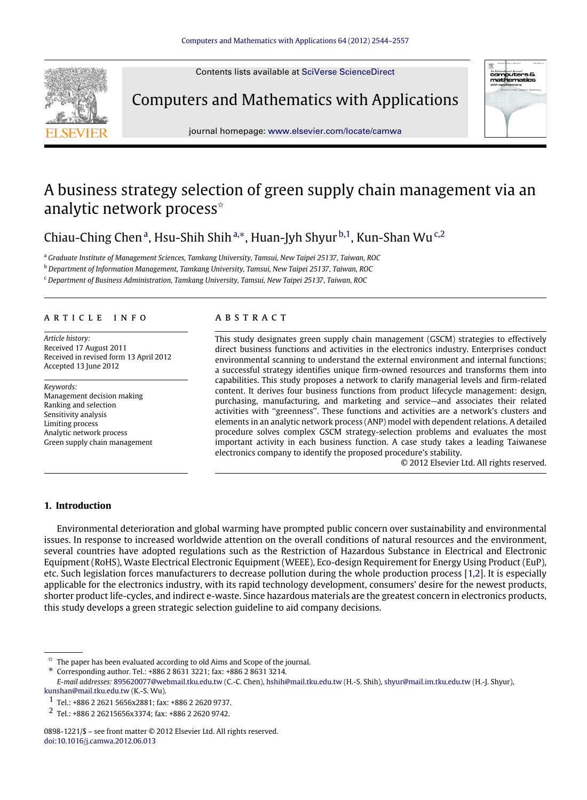Contents lists available at [SciVerse ScienceDirect](http://www.elsevier.com/locate/camwa)



Computers and Mathematics with Applications



journal homepage: [www.elsevier.com/locate/camwa](http://www.elsevier.com/locate/camwa)

# A business strategy selection of green supply chain management via an analytic network process<sup>\*</sup>

Chi[a](#page-0-1)u-Ching Chen<sup>a</sup>, Hsu-Shih Shih<sup>[a,](#page-0-1)[∗](#page-0-2)</sup>, Huan-Jyh Shyur <sup>[b,](#page-0-3)[1](#page-0-4)</sup>, Kun-Shan Wu<sup>[c,](#page-0-5)[2](#page-0-6)</sup>

<span id="page-0-1"></span><sup>a</sup> *Graduate Institute of Management Sciences, Tamkang University, Tamsui, New Taipei 25137, Taiwan, ROC*

<span id="page-0-3"></span><sup>b</sup> *Department of Information Management, Tamkang University, Tamsui, New Taipei 25137, Taiwan, ROC*

<span id="page-0-5"></span><sup>c</sup> *Department of Business Administration, Tamkang University, Tamsui, New Taipei 25137, Taiwan, ROC*

## a r t i c l e i n f o

*Article history:* Received 17 August 2011 Received in revised form 13 April 2012 Accepted 13 June 2012

*Keywords:* Management decision making Ranking and selection Sensitivity analysis Limiting process Analytic network process Green supply chain management

## a b s t r a c t

This study designates green supply chain management (GSCM) strategies to effectively direct business functions and activities in the electronics industry. Enterprises conduct environmental scanning to understand the external environment and internal functions; a successful strategy identifies unique firm-owned resources and transforms them into capabilities. This study proposes a network to clarify managerial levels and firm-related content. It derives four business functions from product lifecycle management: design, purchasing, manufacturing, and marketing and service—and associates their related activities with ''greenness''. These functions and activities are a network's clusters and elements in an analytic network process (ANP) model with dependent relations. A detailed procedure solves complex GSCM strategy-selection problems and evaluates the most important activity in each business function. A case study takes a leading Taiwanese electronics company to identify the proposed procedure's stability.

© 2012 Elsevier Ltd. All rights reserved.

#### **1. Introduction**

Environmental deterioration and global warming have prompted public concern over sustainability and environmental issues. In response to increased worldwide attention on the overall conditions of natural resources and the environment, several countries have adopted regulations such as the Restriction of Hazardous Substance in Electrical and Electronic Equipment (RoHS), Waste Electrical Electronic Equipment (WEEE), Eco-design Requirement for Energy Using Product (EuP), etc. Such legislation forces manufacturers to decrease pollution during the whole production process [\[1,](#page--1-0)[2\]](#page--1-1). It is especially applicable for the electronics industry, with its rapid technology development, consumers' desire for the newest products, shorter product life-cycles, and indirect e-waste. Since hazardous materials are the greatest concern in electronics products, this study develops a green strategic selection guideline to aid company decisions.

<span id="page-0-2"></span>∗ Corresponding author. Tel.: +886 2 8631 3221; fax: +886 2 8631 3214.

<span id="page-0-0"></span><sup>✩</sup> The paper has been evaluated according to old Aims and Scope of the journal.

*E-mail addresses:* [895620077@webmail.tku.edu.tw](mailto:895620077@webmail.tku.edu.tw) (C.-C. Chen), [hshih@mail.tku.edu.tw](mailto:hshih@mail.tku.edu.tw) (H.-S. Shih), [shyur@mail.im.tku.edu.tw](mailto:shyur@mail.im.tku.edu.tw) (H.-J. Shyur), [kunshan@mail.tku.edu.tw](mailto:kunshan@mail.tku.edu.tw) (K.-S. Wu).

<span id="page-0-4"></span><sup>1</sup> Tel.: +886 2 2621 5656x2881; fax: +886 2 2620 9737.

<span id="page-0-6"></span><sup>2</sup> Tel.: +886 2 26215656x3374; fax: +886 2 2620 9742.

<sup>0898-1221/\$ –</sup> see front matter © 2012 Elsevier Ltd. All rights reserved. [doi:10.1016/j.camwa.2012.06.013](http://dx.doi.org/10.1016/j.camwa.2012.06.013)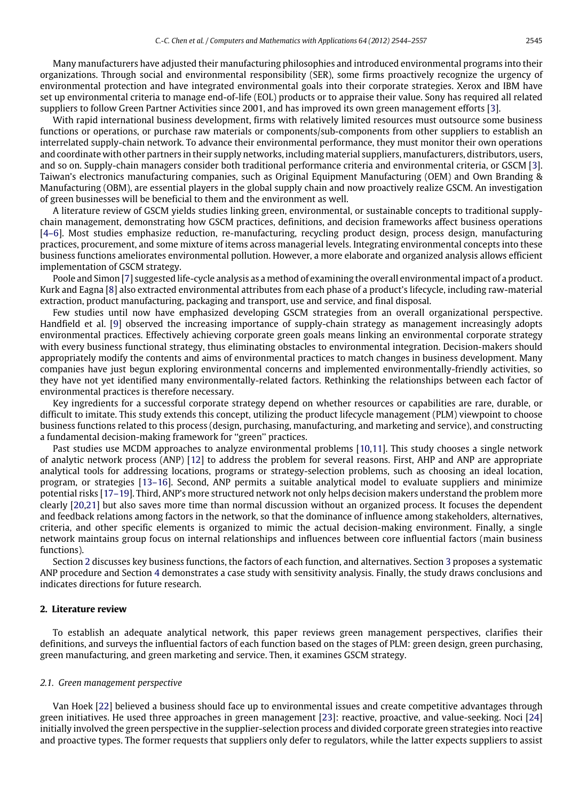Many manufacturers have adjusted their manufacturing philosophies and introduced environmental programs into their organizations. Through social and environmental responsibility (SER), some firms proactively recognize the urgency of environmental protection and have integrated environmental goals into their corporate strategies. Xerox and IBM have set up environmental criteria to manage end-of-life (EOL) products or to appraise their value. Sony has required all related suppliers to follow Green Partner Activities since 2001, and has improved its own green management efforts [\[3\]](#page--1-2).

With rapid international business development, firms with relatively limited resources must outsource some business functions or operations, or purchase raw materials or components/sub-components from other suppliers to establish an interrelated supply-chain network. To advance their environmental performance, they must monitor their own operations and coordinate with other partners in their supply networks, including material suppliers, manufacturers, distributors, users, and so on. Supply-chain managers consider both traditional performance criteria and environmental criteria, or GSCM [\[3\]](#page--1-2). Taiwan's electronics manufacturing companies, such as Original Equipment Manufacturing (OEM) and Own Branding & Manufacturing (OBM), are essential players in the global supply chain and now proactively realize GSCM. An investigation of green businesses will be beneficial to them and the environment as well.

A literature review of GSCM yields studies linking green, environmental, or sustainable concepts to traditional supplychain management, demonstrating how GSCM practices, definitions, and decision frameworks affect business operations [\[4–6\]](#page--1-3). Most studies emphasize reduction, re-manufacturing, recycling product design, process design, manufacturing practices, procurement, and some mixture of items across managerial levels. Integrating environmental concepts into these business functions ameliorates environmental pollution. However, a more elaborate and organized analysis allows efficient implementation of GSCM strategy.

Poole and Simon [\[7\]](#page--1-4) suggested life-cycle analysis as a method of examining the overall environmental impact of a product. Kurk and Eagna [\[8\]](#page--1-5) also extracted environmental attributes from each phase of a product's lifecycle, including raw-material extraction, product manufacturing, packaging and transport, use and service, and final disposal.

Few studies until now have emphasized developing GSCM strategies from an overall organizational perspective. Handfield et al. [\[9\]](#page--1-6) observed the increasing importance of supply-chain strategy as management increasingly adopts environmental practices. Effectively achieving corporate green goals means linking an environmental corporate strategy with every business functional strategy, thus eliminating obstacles to environmental integration. Decision-makers should appropriately modify the contents and aims of environmental practices to match changes in business development. Many companies have just begun exploring environmental concerns and implemented environmentally-friendly activities, so they have not yet identified many environmentally-related factors. Rethinking the relationships between each factor of environmental practices is therefore necessary.

Key ingredients for a successful corporate strategy depend on whether resources or capabilities are rare, durable, or difficult to imitate. This study extends this concept, utilizing the product lifecycle management (PLM) viewpoint to choose business functions related to this process (design, purchasing, manufacturing, and marketing and service), and constructing a fundamental decision-making framework for "green" practices.

Past studies use MCDM approaches to analyze environmental problems [\[10](#page--1-7)[,11\]](#page--1-8). This study chooses a single network of analytic network process (ANP) [\[12\]](#page--1-9) to address the problem for several reasons. First, AHP and ANP are appropriate analytical tools for addressing locations, programs or strategy-selection problems, such as choosing an ideal location, program, or strategies [\[13–16\]](#page--1-10). Second, ANP permits a suitable analytical model to evaluate suppliers and minimize potential risks [\[17–19\]](#page--1-11). Third, ANP's more structured network not only helps decision makers understand the problem more clearly [\[20,](#page--1-12)[21\]](#page--1-13) but also saves more time than normal discussion without an organized process. It focuses the dependent and feedback relations among factors in the network, so that the dominance of influence among stakeholders, alternatives, criteria, and other specific elements is organized to mimic the actual decision-making environment. Finally, a single network maintains group focus on internal relationships and influences between core influential factors (main business functions).

Section [2](#page-1-0) discusses key business functions, the factors of each function, and alternatives. Section [3](#page--1-14) proposes a systematic ANP procedure and Section [4](#page--1-15) demonstrates a case study with sensitivity analysis. Finally, the study draws conclusions and indicates directions for future research.

#### <span id="page-1-0"></span>**2. Literature review**

To establish an adequate analytical network, this paper reviews green management perspectives, clarifies their definitions, and surveys the influential factors of each function based on the stages of PLM: green design, green purchasing, green manufacturing, and green marketing and service. Then, it examines GSCM strategy.

#### *2.1. Green management perspective*

Van Hoek [\[22\]](#page--1-16) believed a business should face up to environmental issues and create competitive advantages through green initiatives. He used three approaches in green management [\[23\]](#page--1-17): reactive, proactive, and value-seeking. Noci [\[24\]](#page--1-18) initially involved the green perspective in the supplier-selection process and divided corporate green strategies into reactive and proactive types. The former requests that suppliers only defer to regulators, while the latter expects suppliers to assist